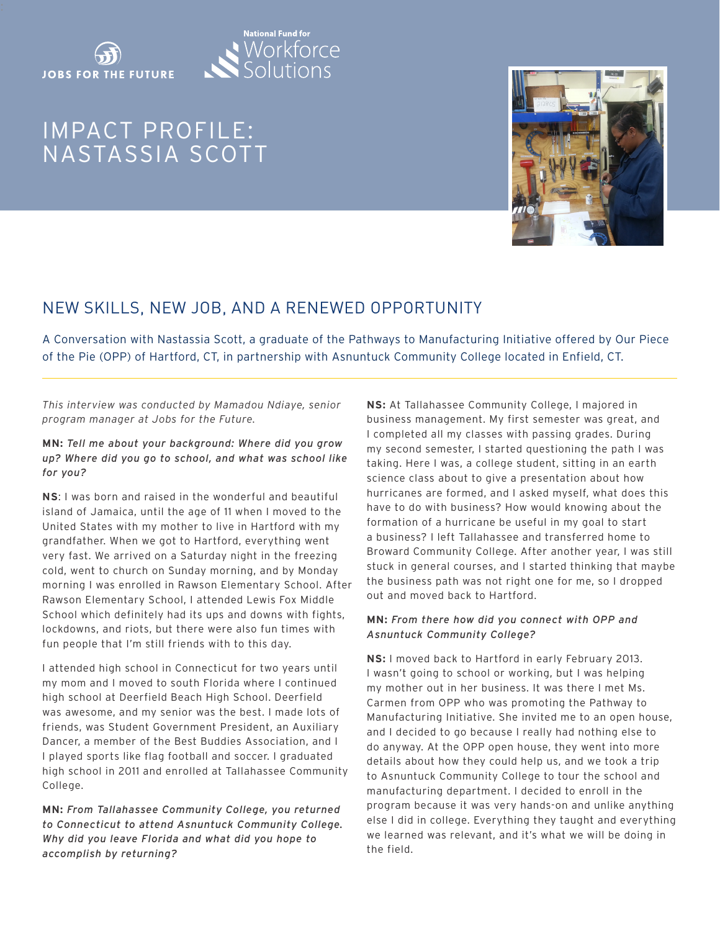



# IMPACT PROFILE: NASTASSIA SCOTT



# NEW SKILLS, NEW JOB, AND A RENEWED OPPORTUNITY

A Conversation with Nastassia Scott, a graduate of the Pathways to Manufacturing Initiative offered by Our Piece of the Pie (OPP) of Hartford, CT, in partnership with Asnuntuck Community College located in Enfield, CT.

#### *This interview was conducted by Mamadou Ndiaye, senior program manager at Jobs for the Future.*

**MN:** *Tell me about your background: Where did you grow up? Where did you go to school, and what was school like for you?* 

**NS**: I was born and raised in the wonderful and beautiful island of Jamaica, until the age of 11 when I moved to the United States with my mother to live in Hartford with my grandfather. When we got to Hartford, everything went very fast. We arrived on a Saturday night in the freezing cold, went to church on Sunday morning, and by Monday morning I was enrolled in Rawson Elementary School. After Rawson Elementary School, I attended Lewis Fox Middle School which definitely had its ups and downs with fights, lockdowns, and riots, but there were also fun times with fun people that I'm still friends with to this day.

I attended high school in Connecticut for two years until my mom and I moved to south Florida where I continued high school at Deerfield Beach High School. Deerfield was awesome, and my senior was the best. I made lots of friends, was Student Government President, an Auxiliary Dancer, a member of the Best Buddies Association, and I I played sports like flag football and soccer. I graduated high school in 2011 and enrolled at Tallahassee Community College.

**MN:** *From Tallahassee Community College, you returned to Connecticut to attend Asnuntuck Community College. Why did you leave Florida and what did you hope to accomplish by returning?*

**NS:** At Tallahassee Community College, I majored in business management. My first semester was great, and I completed all my classes with passing grades. During my second semester, I started questioning the path I was taking. Here I was, a college student, sitting in an earth science class about to give a presentation about how hurricanes are formed, and I asked myself, what does this have to do with business? How would knowing about the formation of a hurricane be useful in my goal to start a business? I left Tallahassee and transferred home to Broward Community College. After another year, I was still stuck in general courses, and I started thinking that maybe the business path was not right one for me, so I dropped out and moved back to Hartford.

#### **MN:** *From there how did you connect with OPP and Asnuntuck Community College?*

**NS:** I moved back to Hartford in early February 2013. I wasn't going to school or working, but I was helping my mother out in her business. It was there I met Ms. Carmen from OPP who was promoting the Pathway to Manufacturing Initiative. She invited me to an open house, and I decided to go because I really had nothing else to do anyway. At the OPP open house, they went into more details about how they could help us, and we took a trip to Asnuntuck Community College to tour the school and manufacturing department. I decided to enroll in the program because it was very hands-on and unlike anything else I did in college. Everything they taught and everything we learned was relevant, and it's what we will be doing in the field.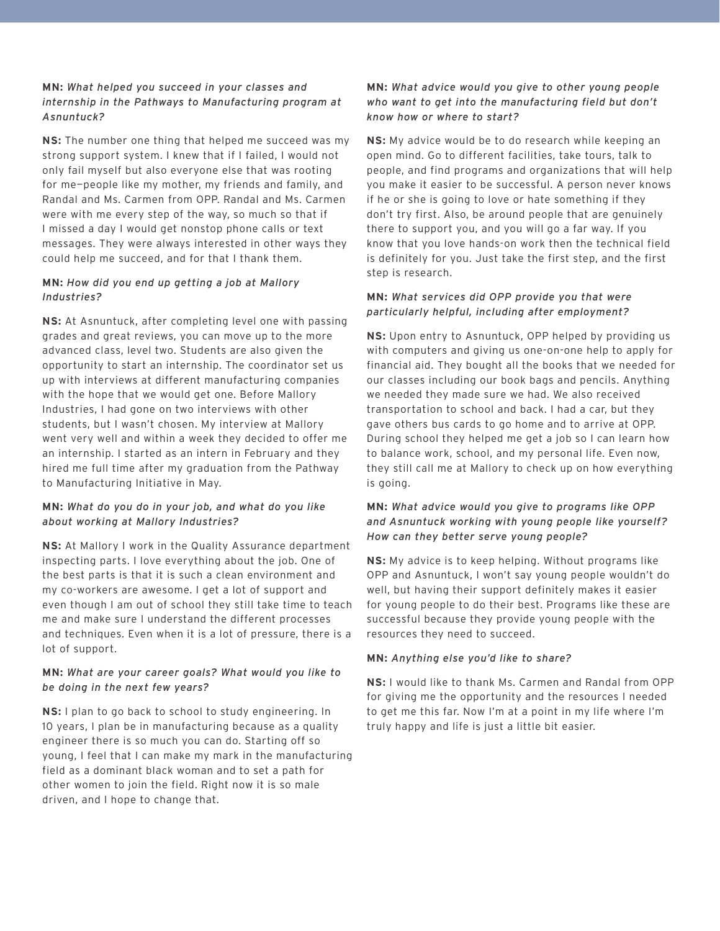## **MN:** *What helped you succeed in your classes and internship in the Pathways to Manufacturing program at Asnuntuck?*

**NS:** The number one thing that helped me succeed was my strong support system. I knew that if I failed, I would not only fail myself but also everyone else that was rooting for me—people like my mother, my friends and family, and Randal and Ms. Carmen from OPP. Randal and Ms. Carmen were with me every step of the way, so much so that if I missed a day I would get nonstop phone calls or text messages. They were always interested in other ways they could help me succeed, and for that I thank them.

#### **MN:** *How did you end up getting a job at Mallory Industries?*

**NS:** At Asnuntuck, after completing level one with passing grades and great reviews, you can move up to the more advanced class, level two. Students are also given the opportunity to start an internship. The coordinator set us up with interviews at different manufacturing companies with the hope that we would get one. Before Mallory Industries, I had gone on two interviews with other students, but I wasn't chosen. My interview at Mallory went very well and within a week they decided to offer me an internship. I started as an intern in February and they hired me full time after my graduation from the Pathway to Manufacturing Initiative in May.

#### **MN:** *What do you do in your job, and what do you like about working at Mallory Industries?*

**NS:** At Mallory I work in the Quality Assurance department inspecting parts. I love everything about the job. One of the best parts is that it is such a clean environment and my co-workers are awesome. I get a lot of support and even though I am out of school they still take time to teach me and make sure I understand the different processes and techniques. Even when it is a lot of pressure, there is a lot of support.

# **MN:** *What are your career goals? What would you like to be doing in the next few years?*

**NS:** I plan to go back to school to study engineering. In 10 years, I plan be in manufacturing because as a quality engineer there is so much you can do. Starting off so young, I feel that I can make my mark in the manufacturing field as a dominant black woman and to set a path for other women to join the field. Right now it is so male driven, and I hope to change that.

## **MN:** *What advice would you give to other young people who want to get into the manufacturing field but don't know how or where to start?*

**NS:** My advice would be to do research while keeping an open mind. Go to different facilities, take tours, talk to people, and find programs and organizations that will help you make it easier to be successful. A person never knows if he or she is going to love or hate something if they don't try first. Also, be around people that are genuinely there to support you, and you will go a far way. If you know that you love hands-on work then the technical field is definitely for you. Just take the first step, and the first step is research.

## **MN:** *What services did OPP provide you that were particularly helpful, including after employment?*

**NS:** Upon entry to Asnuntuck, OPP helped by providing us with computers and giving us one-on-one help to apply for financial aid. They bought all the books that we needed for our classes including our book bags and pencils. Anything we needed they made sure we had. We also received transportation to school and back. I had a car, but they gave others bus cards to go home and to arrive at OPP. During school they helped me get a job so I can learn how to balance work, school, and my personal life. Even now, they still call me at Mallory to check up on how everything is going.

# **MN:** *What advice would you give to programs like OPP and Asnuntuck working with young people like yourself? How can they better serve young people?*

**NS:** My advice is to keep helping. Without programs like OPP and Asnuntuck, I won't say young people wouldn't do well, but having their support definitely makes it easier for young people to do their best. Programs like these are successful because they provide young people with the resources they need to succeed.

# **MN:** *Anything else you'd like to share?*

**NS:** I would like to thank Ms. Carmen and Randal from OPP for giving me the opportunity and the resources I needed to get me this far. Now I'm at a point in my life where I'm truly happy and life is just a little bit easier.